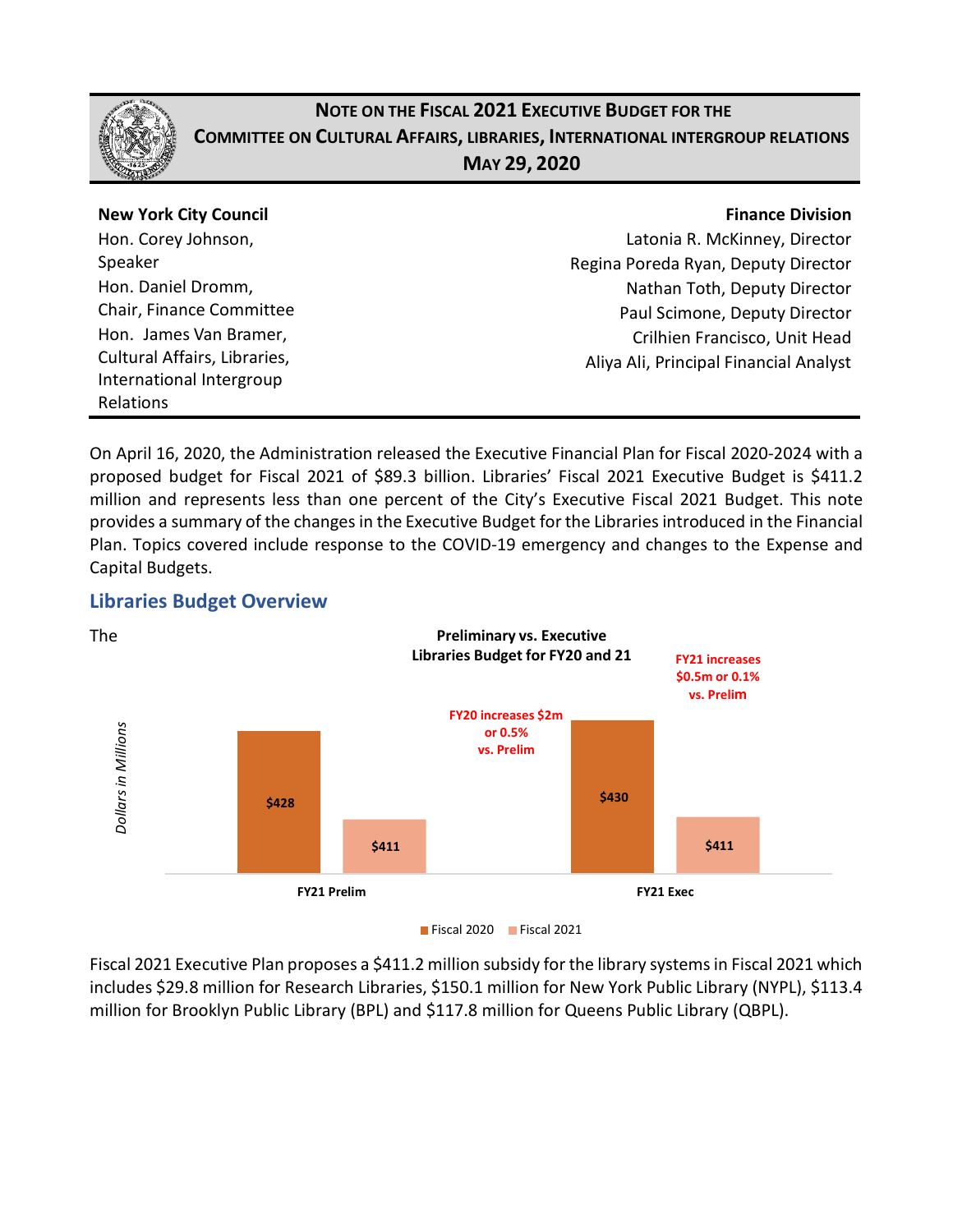

# **NOTE ON THE FISCAL 2021 EXECUTIVE BUDGET FOR THE COMMITTEE ON CULTURAL AFFAIRS, LIBRARIES, INTERNATIONAL INTERGROUP RELATIONS MAY 29, 2020**

| <b>New York City Council</b> | <b>Finance Division</b>                |
|------------------------------|----------------------------------------|
| Hon. Corey Johnson,          | Latonia R. McKinney, Director          |
| Speaker                      | Regina Poreda Ryan, Deputy Director    |
| Hon. Daniel Dromm,           | Nathan Toth, Deputy Director           |
| Chair, Finance Committee     | Paul Scimone, Deputy Director          |
| Hon. James Van Bramer,       | Crilhien Francisco, Unit Head          |
| Cultural Affairs, Libraries, | Aliya Ali, Principal Financial Analyst |
| International Intergroup     |                                        |
| Relations                    |                                        |

On April 16, 2020, the Administration released the Executive Financial Plan for Fiscal 2020-2024 with a proposed budget for Fiscal 2021 of \$89.3 billion. Libraries' Fiscal 2021 Executive Budget is \$411.2 million and represents less than one percent of the City's Executive Fiscal 2021 Budget. This note provides a summary of the changes in the Executive Budget for the Libraries introduced in the Financial Plan. Topics covered include response to the COVID-19 emergency and changes to the Expense and Capital Budgets.

### **Libraries Budget Overview**



Fiscal 2021 Executive Plan proposes a \$411.2 million subsidy for the library systems in Fiscal 2021 which includes \$29.8 million for Research Libraries, \$150.1 million for New York Public Library (NYPL), \$113.4 million for Brooklyn Public Library (BPL) and \$117.8 million for Queens Public Library (QBPL).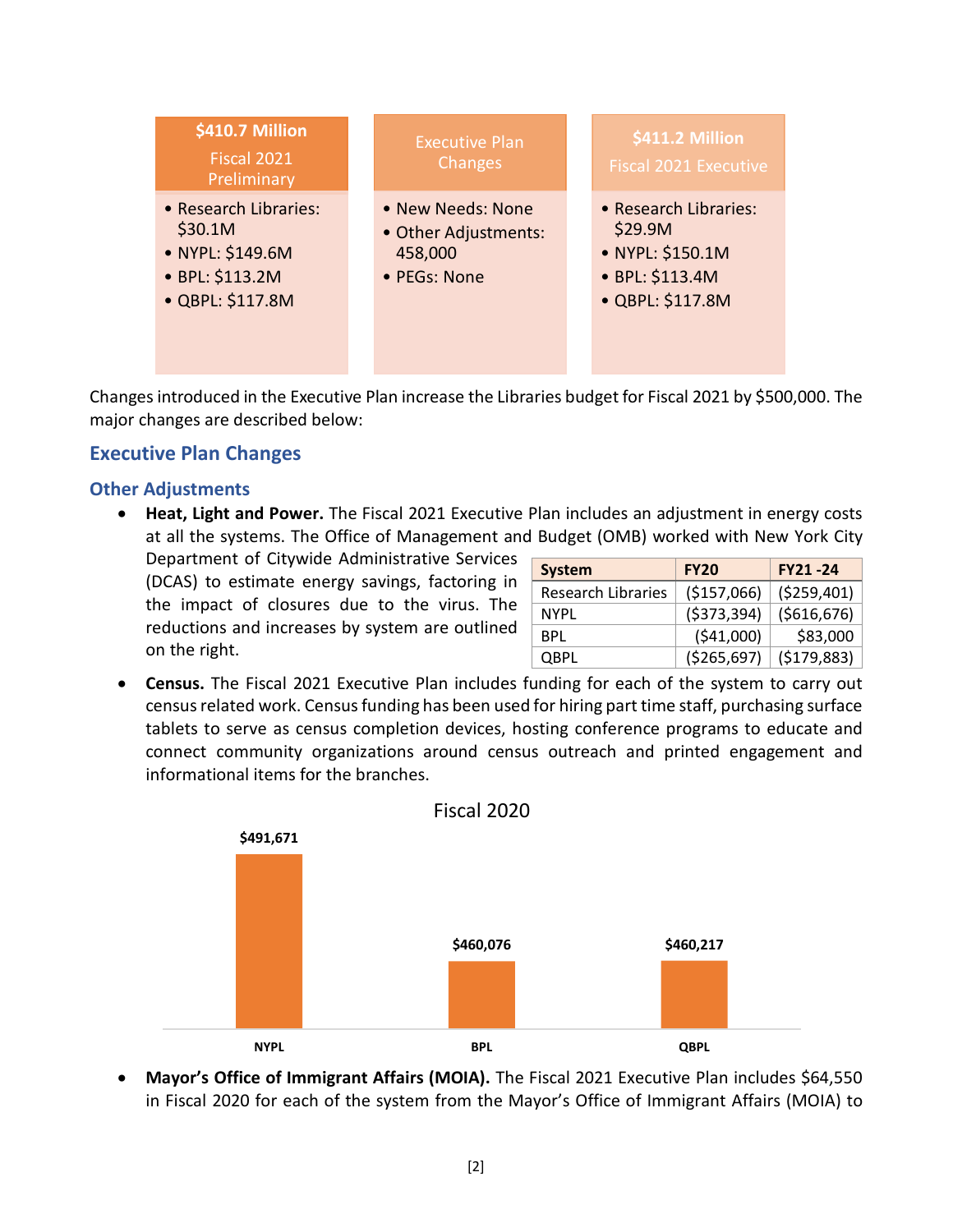

Changes introduced in the Executive Plan increase the Libraries budget for Fiscal 2021 by \$500,000. The major changes are described below:

## **Executive Plan Changes**

#### **Other Adjustments**

• **Heat, Light and Power.** The Fiscal 2021 Executive Plan includes an adjustment in energy costs at all the systems. The Office of Management and Budget (OMB) worked with New York City

Department of Citywide Administrative Services (DCAS) to estimate energy savings, factoring in the impact of closures due to the virus. The reductions and increases by system are outlined on the right.

| <b>System</b>             | <b>FY20</b>   | <b>FY21-24</b> |  |  |
|---------------------------|---------------|----------------|--|--|
| <b>Research Libraries</b> | (\$157,066)   | ( \$259,401)   |  |  |
| NYPL                      | ( \$373, 394) | ( \$616, 676)  |  |  |
| BPL                       | (541,000)     | \$83,000       |  |  |
| <b>QBPL</b>               | ( \$265, 697) | (\$179,883)    |  |  |

• **Census.** The Fiscal 2021 Executive Plan includes funding for each of the system to carry out census related work. Census funding has been used for hiring part time staff, purchasing surface tablets to serve as census completion devices, hosting conference programs to educate and connect community organizations around census outreach and printed engagement and informational items for the branches.



• Mayor's Office of Immigrant Affairs (MOIA). The Fiscal 2021 Executive Plan includes \$64,550 in Fiscal 2020 for each of the system from the Mayor's Office of Immigrant Affairs (MOIA) to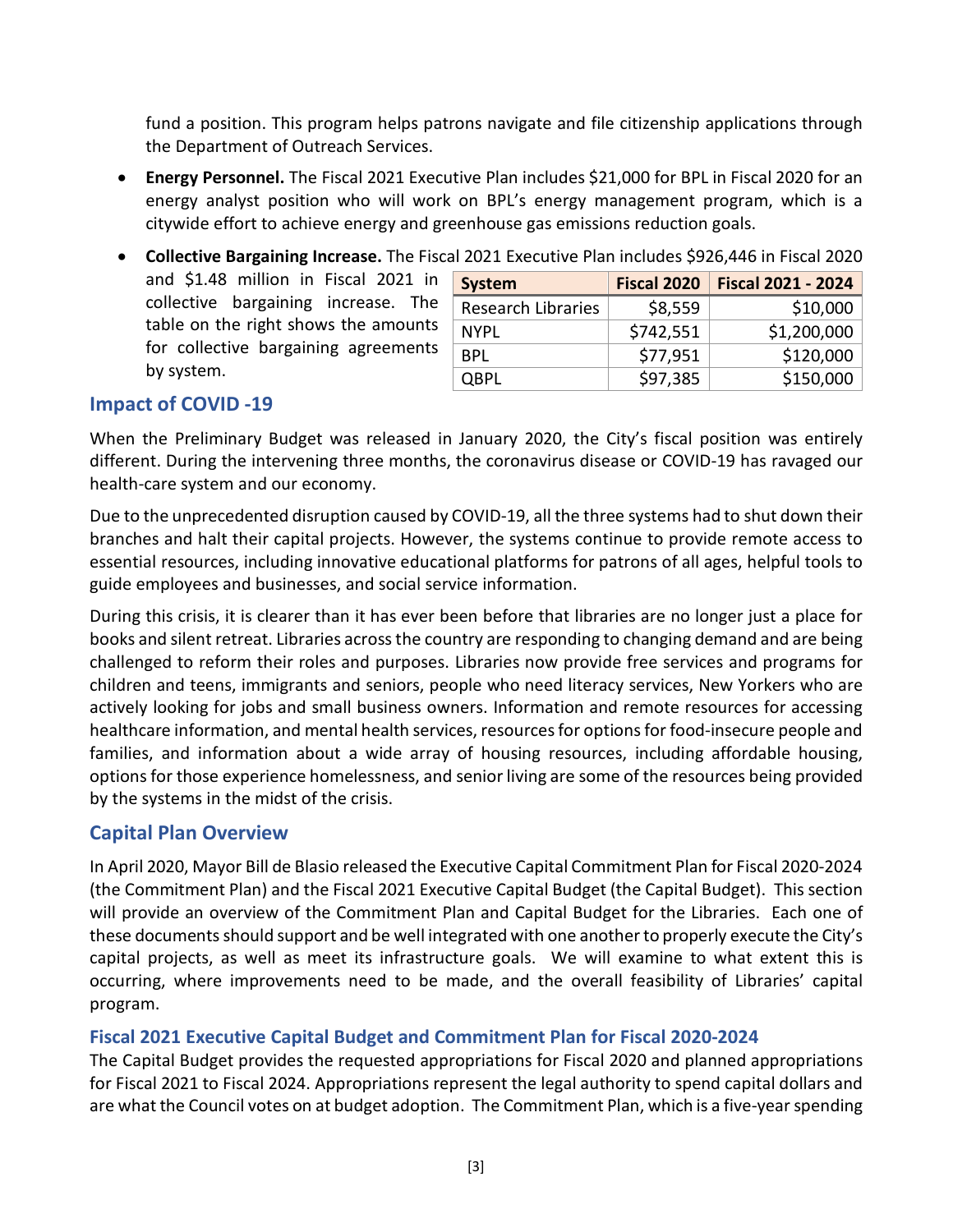fund a position. This program helps patrons navigate and file citizenship applications through the Department of Outreach Services.

- **Energy Personnel.** The Fiscal 2021 Executive Plan includes \$21,000 for BPL in Fiscal 2020 for an energy analyst position who will work on BPL's energy management program, which is a citywide effort to achieve energy and greenhouse gas emissions reduction goals.
- and \$1.48 million in Fiscal 2021 in collective bargaining increase. The table on the right shows the amounts for collective bargaining agreements by system.

| <b>Fiscal 2020</b> | <b>Fiscal 2021 - 2024</b> |  |  |
|--------------------|---------------------------|--|--|
| \$8,559            | \$10,000                  |  |  |
| \$742,551          | \$1,200,000               |  |  |
| \$77,951           | \$120,000                 |  |  |
| \$97,385           | \$150,000                 |  |  |
|                    |                           |  |  |

#### • **Collective Bargaining Increase.** The Fiscal 2021 Executive Plan includes \$926,446 in Fiscal 2020

#### **Impact of COVID -19**

When the Preliminary Budget was released in January 2020, the City's fiscal position was entirely different. During the intervening three months, the coronavirus disease or COVID-19 has ravaged our health-care system and our economy.

Due to the unprecedented disruption caused by COVID-19, all the three systems had to shut down their branches and halt their capital projects. However, the systems continue to provide remote access to essential resources, including innovative educational platforms for patrons of all ages, helpful tools to guide employees and businesses, and social service information.

During this crisis, it is clearer than it has ever been before that libraries are no longer just a place for books and silent retreat. Libraries across the country are responding to changing demand and are being challenged to reform their roles and purposes. Libraries now provide free services and programs for children and teens, immigrants and seniors, people who need literacy services, New Yorkers who are actively looking for jobs and small business owners. Information and remote resources for accessing healthcare information, and mental health services, resources for options for food-insecure people and families, and information about a wide array of housing resources, including affordable housing, options for those experience homelessness, and senior living are some of the resources being provided by the systems in the midst of the crisis.

#### **Capital Plan Overview**

In April 2020, Mayor Bill de Blasio released the Executive Capital Commitment Plan for Fiscal 2020-2024 (the Commitment Plan) and the Fiscal 2021 Executive Capital Budget (the Capital Budget). This section will provide an overview of the Commitment Plan and Capital Budget for the Libraries. Each one of these documents should support and be well integrated with one another to properly execute the City's capital projects, as well as meet its infrastructure goals. We will examine to what extent this is occurring, where improvements need to be made, and the overall feasibility of Libraries' capital program.

#### **Fiscal 2021 Executive Capital Budget and Commitment Plan for Fiscal 2020-2024**

The Capital Budget provides the requested appropriations for Fiscal 2020 and planned appropriations for Fiscal 2021 to Fiscal 2024. Appropriations represent the legal authority to spend capital dollars and are what the Council votes on at budget adoption. The Commitment Plan, which is a five-year spending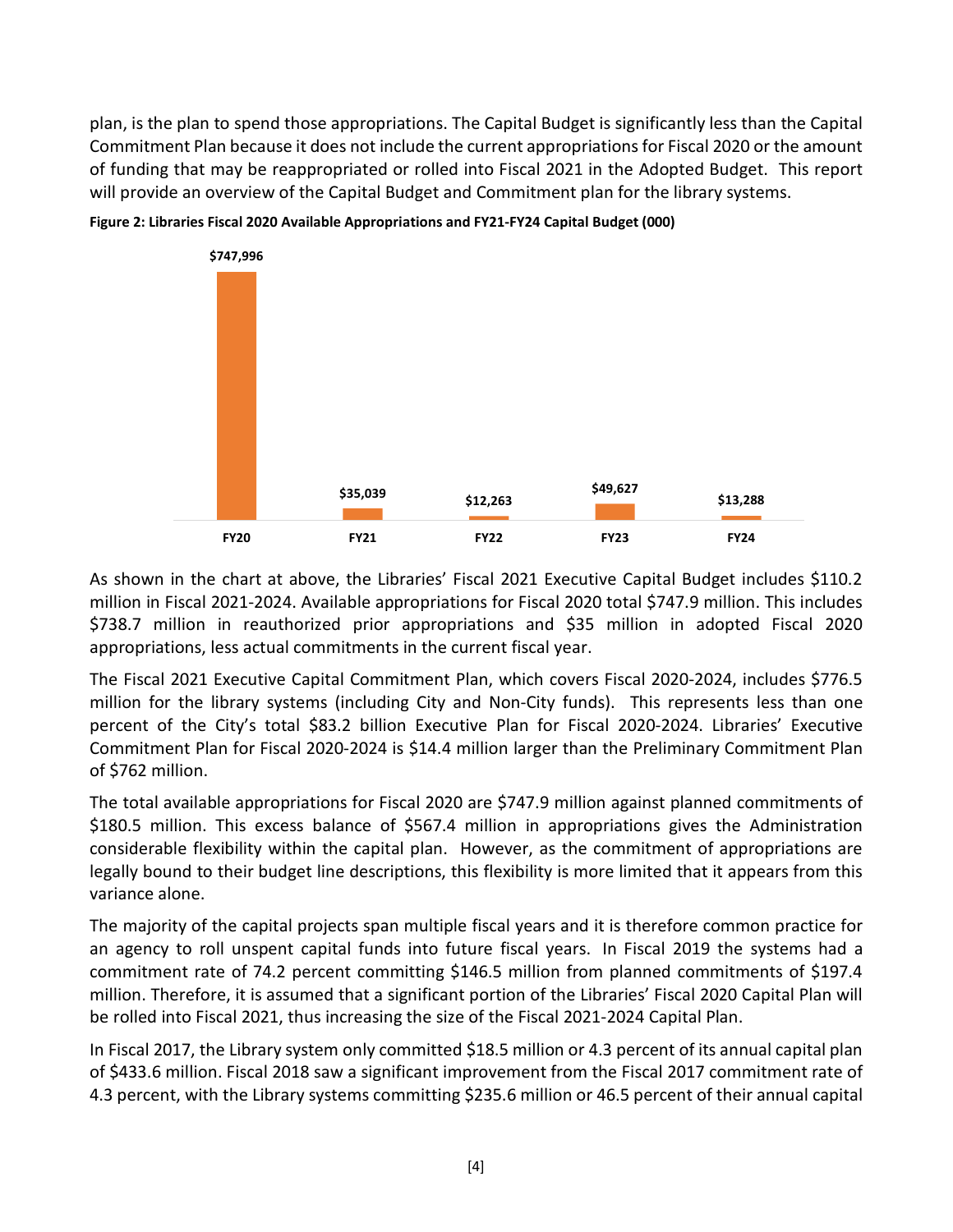plan, is the plan to spend those appropriations. The Capital Budget is significantly less than the Capital Commitment Plan because it does not include the current appropriations for Fiscal 2020 or the amount of funding that may be reappropriated or rolled into Fiscal 2021 in the Adopted Budget. This report will provide an overview of the Capital Budget and Commitment plan for the library systems.





As shown in the chart at above, the Libraries' Fiscal 2021 Executive Capital Budget includes \$110.2 million in Fiscal 2021-2024. Available appropriations for Fiscal 2020 total \$747.9 million. This includes \$738.7 million in reauthorized prior appropriations and \$35 million in adopted Fiscal 2020 appropriations, less actual commitments in the current fiscal year.

The Fiscal 2021 Executive Capital Commitment Plan, which covers Fiscal 2020-2024, includes \$776.5 million for the library systems (including City and Non-City funds). This represents less than one percent of the City's total \$83.2 billion Executive Plan for Fiscal 2020-2024. Libraries' Executive Commitment Plan for Fiscal 2020-2024 is \$14.4 million larger than the Preliminary Commitment Plan of \$762 million.

The total available appropriations for Fiscal 2020 are \$747.9 million against planned commitments of \$180.5 million. This excess balance of \$567.4 million in appropriations gives the Administration considerable flexibility within the capital plan. However, as the commitment of appropriations are legally bound to their budget line descriptions, this flexibility is more limited that it appears from this variance alone.

The majority of the capital projects span multiple fiscal years and it is therefore common practice for an agency to roll unspent capital funds into future fiscal years. In Fiscal 2019 the systems had a commitment rate of 74.2 percent committing \$146.5 million from planned commitments of \$197.4 million. Therefore, it is assumed that a significant portion of the Libraries' Fiscal 2020 Capital Plan will be rolled into Fiscal 2021, thus increasing the size of the Fiscal 2021-2024 Capital Plan.

In Fiscal 2017, the Library system only committed \$18.5 million or 4.3 percent of its annual capital plan of \$433.6 million. Fiscal 2018 saw a significant improvement from the Fiscal 2017 commitment rate of 4.3 percent, with the Library systems committing \$235.6 million or 46.5 percent of their annual capital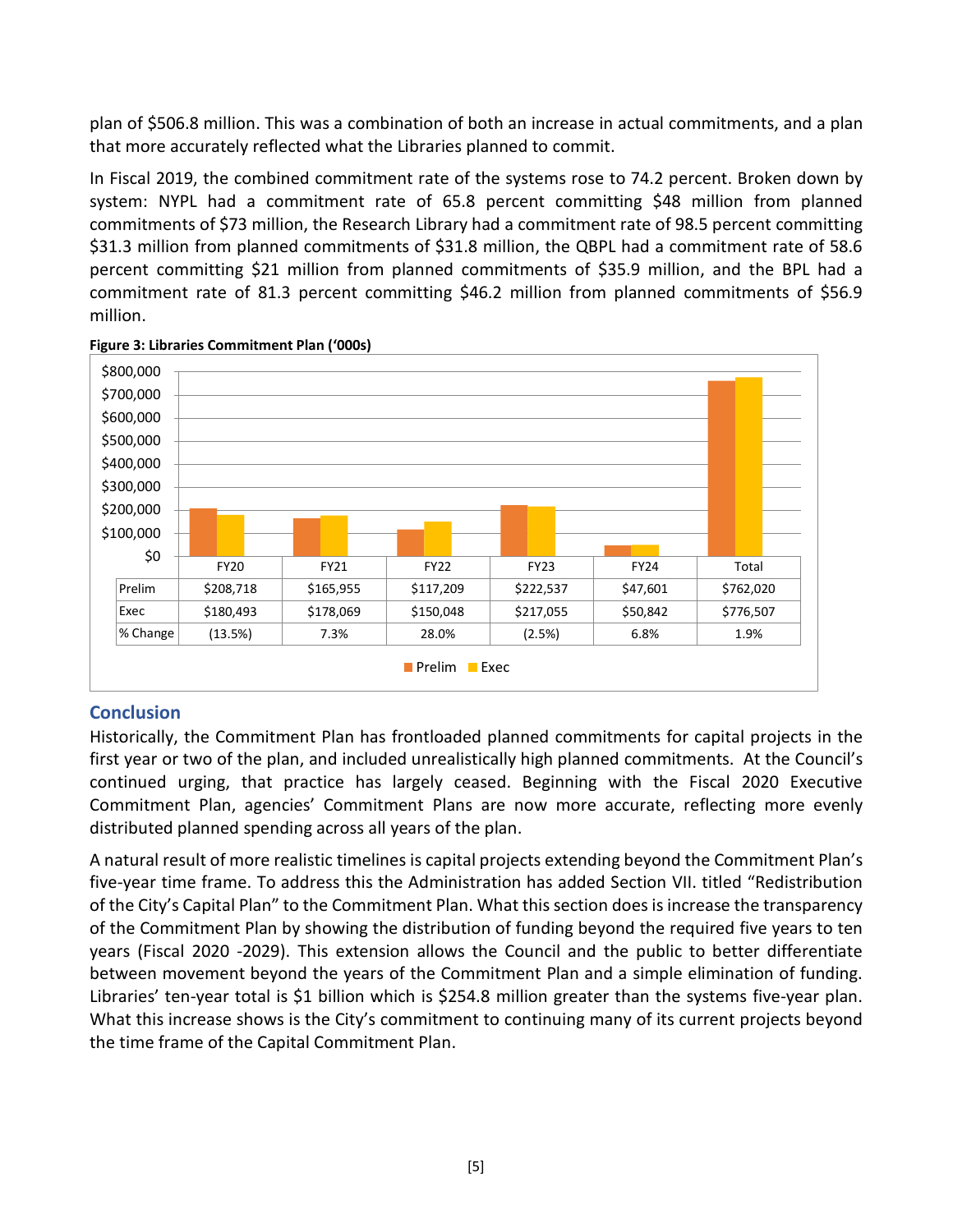plan of \$506.8 million. This was a combination of both an increase in actual commitments, and a plan that more accurately reflected what the Libraries planned to commit.

In Fiscal 2019, the combined commitment rate of the systems rose to 74.2 percent. Broken down by system: NYPL had a commitment rate of 65.8 percent committing \$48 million from planned commitments of \$73 million, the Research Library had a commitment rate of 98.5 percent committing \$31.3 million from planned commitments of \$31.8 million, the QBPL had a commitment rate of 58.6 percent committing \$21 million from planned commitments of \$35.9 million, and the BPL had a commitment rate of 81.3 percent committing \$46.2 million from planned commitments of \$56.9 million.



**Figure 3: Libraries Commitment Plan ('000s)**

### **Conclusion**

Historically, the Commitment Plan has frontloaded planned commitments for capital projects in the first year or two of the plan, and included unrealistically high planned commitments. At the Council's continued urging, that practice has largely ceased. Beginning with the Fiscal 2020 Executive Commitment Plan, agencies' Commitment Plans are now more accurate, reflecting more evenly distributed planned spending across all years of the plan.

A natural result of more realistic timelines is capital projects extending beyond the Commitment Plan's five-year time frame. To address this the Administration has added Section VII. titled "Redistribution of the City's Capital Plan" to the Commitment Plan. What this section does is increase the transparency of the Commitment Plan by showing the distribution of funding beyond the required five years to ten years (Fiscal 2020 -2029). This extension allows the Council and the public to better differentiate between movement beyond the years of the Commitment Plan and a simple elimination of funding. Libraries' ten-year total is \$1 billion which is \$254.8 million greater than the systems five-year plan. What this increase shows is the City's commitment to continuing many of its current projects beyond the time frame of the Capital Commitment Plan.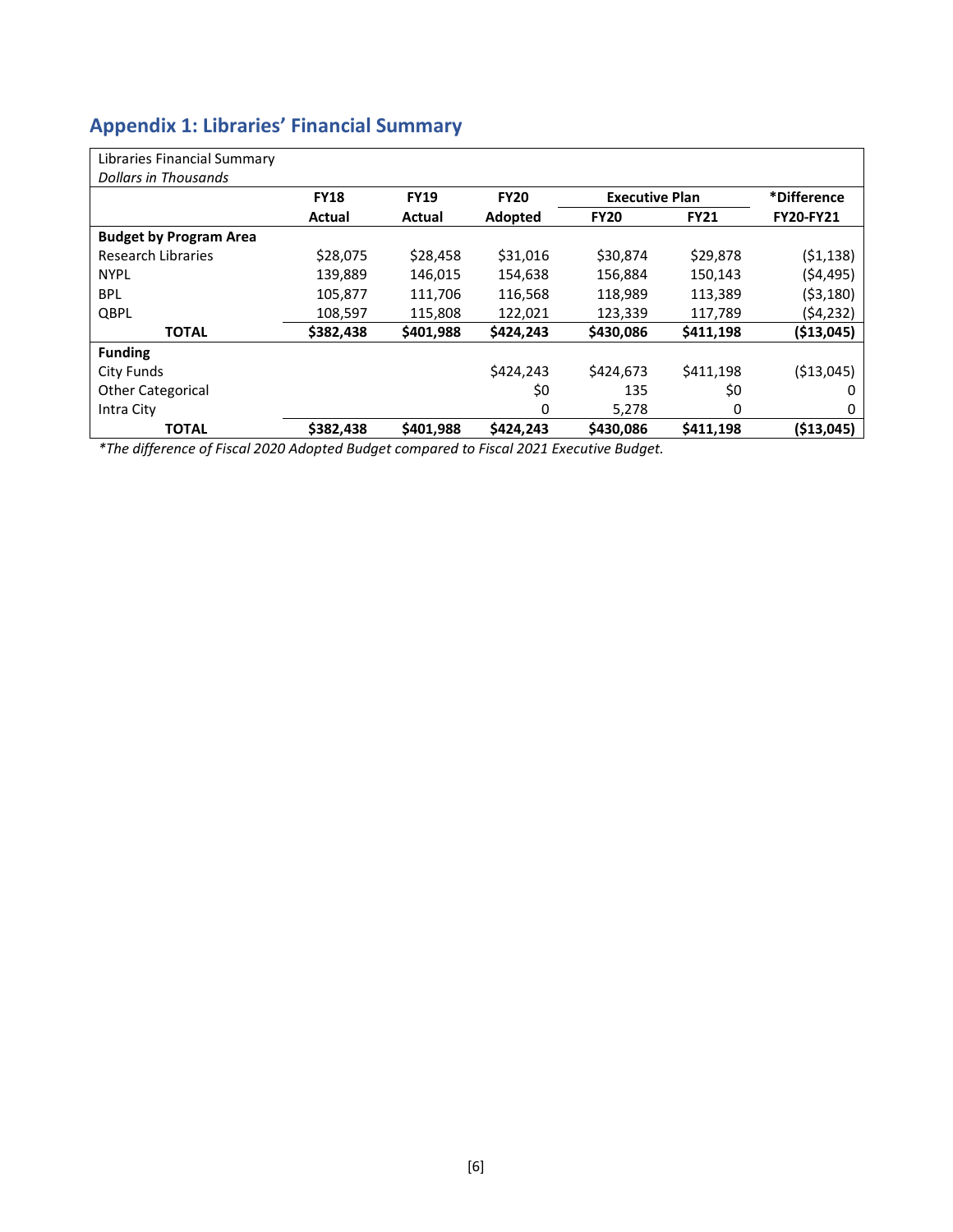# **Appendix 1: Libraries' Financial Summary**

| Libraries Financial Summary   |             |             |             |                       |             |                  |
|-------------------------------|-------------|-------------|-------------|-----------------------|-------------|------------------|
| Dollars in Thousands          |             |             |             |                       |             |                  |
|                               | <b>FY18</b> | <b>FY19</b> | <b>FY20</b> | <b>Executive Plan</b> |             | *Difference      |
|                               | Actual      | Actual      | Adopted     | <b>FY20</b>           | <b>FY21</b> | <b>FY20-FY21</b> |
| <b>Budget by Program Area</b> |             |             |             |                       |             |                  |
| <b>Research Libraries</b>     | \$28,075    | \$28,458    | \$31,016    | \$30,874              | \$29,878    | (51, 138)        |
| <b>NYPL</b>                   | 139,889     | 146,015     | 154,638     | 156,884               | 150,143     | (54, 495)        |
| <b>BPL</b>                    | 105,877     | 111,706     | 116,568     | 118,989               | 113,389     | ( \$3,180)       |
| QBPL                          | 108,597     | 115,808     | 122,021     | 123,339               | 117,789     | (54, 232)        |
| <b>TOTAL</b>                  | \$382,438   | \$401,988   | \$424.243   | \$430,086             | \$411,198   | ( \$13,045)      |
| <b>Funding</b>                |             |             |             |                       |             |                  |
| City Funds                    |             |             | \$424,243   | \$424,673             | \$411,198   | ( \$13,045)      |
| <b>Other Categorical</b>      |             |             | \$0         | 135                   | \$0         | 0                |
| Intra City                    |             |             | 0           | 5,278                 | 0           | 0                |
| <b>TOTAL</b>                  | \$382,438   | \$401,988   | \$424.243   | \$430,086             | \$411,198   | ( \$13,045)      |

*\*The difference of Fiscal 2020 Adopted Budget compared to Fiscal 2021 Executive Budget.*